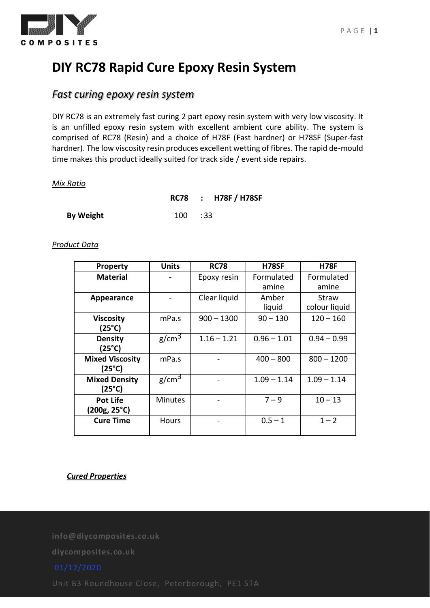

# **DIY RC78 Rapid Cure Epoxy Resin System**

## *Fast curing epoxy resin system*

DIY RC78 is an extremely fast curing 2 part epoxy resin system with very low viscosity. It is an unfilled epoxy resin system with excellent ambient cure ability. The system is comprised of RC78 (Resin) and a choice of H78F (Fast hardner) or H78SF (Super-fast hardner). The low viscosity resin produces excellent wetting of fibres. The rapid de-mould time makes this product ideally suited for track side / event side repairs.

#### *Mix Ratio*

|                  |               | RC78 : H78F / H78SF |
|------------------|---------------|---------------------|
| <b>By Weight</b> | $100 \t : 33$ |                     |

#### *Product Data*

| <b>Property</b>                           | Units             | <b>RC78</b>   | H78SF               | <b>H78F</b>            |
|-------------------------------------------|-------------------|---------------|---------------------|------------------------|
| <b>Material</b>                           |                   | Epoxy resin   | Formulated<br>amine | Formulated<br>amine    |
| Appearance                                |                   | Clear liquid  | Amber<br>liquid     | Straw<br>colour liquid |
| <b>Viscosity</b><br>$(25^{\circ}C)$       | mPa.s             | $900 - 1300$  | $90 - 130$          | $120 - 160$            |
| <b>Density</b><br>(25°C)                  | g/cm <sup>3</sup> | $1.16 - 1.21$ | $0.96 - 1.01$       | $0.94 - 0.99$          |
| <b>Mixed Viscosity</b><br>$(25^{\circ}C)$ | mPa.s             |               | $400 - 800$         | $800 - 1200$           |
| <b>Mixed Density</b><br>(25°C)            | g/cm <sup>3</sup> |               | $1.09 - 1.14$       | $1.09 - 1.14$          |
| <b>Pot Life</b><br>(200g, 25°C)           | <b>Minutes</b>    |               | $7 - 9$             | $10 - 13$              |
| <b>Cure Time</b>                          | <b>Hours</b>      |               | $0.5 - 1$           | $1 - 2$                |

### *Cured Properties*

**info@diycomposites.co.uk**

**diycomposites.co.uk**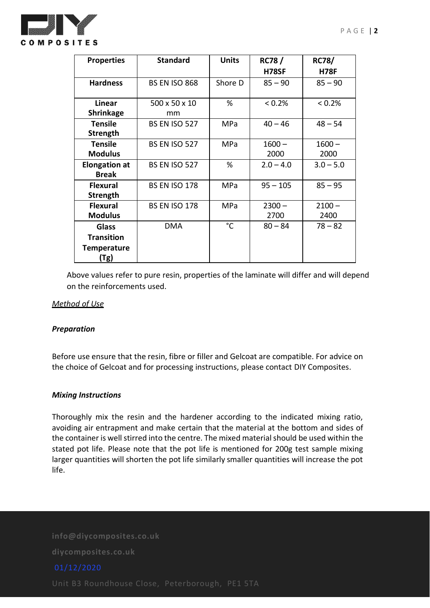

| <b>Properties</b>    | <b>Standard</b>      | <b>Units</b>    | <b>RC78/</b> | <b>RC78/</b> |
|----------------------|----------------------|-----------------|--------------|--------------|
|                      |                      |                 | <b>H78SF</b> | <b>H78F</b>  |
| <b>Hardness</b>      | <b>BS EN ISO 868</b> | Shore D         | $85 - 90$    | $85 - 90$    |
|                      |                      |                 |              |              |
| Linear               | 500 x 50 x 10        | %               | $< 0.2\%$    | < 0.2%       |
| <b>Shrinkage</b>     | mm                   |                 |              |              |
| <b>Tensile</b>       | <b>BS EN ISO 527</b> | MPa             | $40 - 46$    | $48 - 54$    |
| <b>Strength</b>      |                      |                 |              |              |
| <b>Tensile</b>       | <b>BS EN ISO 527</b> | <b>MPa</b>      | $1600 -$     | $1600 -$     |
| <b>Modulus</b>       |                      |                 | 2000         | 2000         |
| <b>Elongation at</b> | <b>BS EN ISO 527</b> | %               | $2.0 - 4.0$  | $3.0 - 5.0$  |
| <b>Break</b>         |                      |                 |              |              |
| <b>Flexural</b>      | <b>BS EN ISO 178</b> | <b>MPa</b>      | $95 - 105$   | $85 - 95$    |
| Strength             |                      |                 |              |              |
| <b>Flexural</b>      | <b>BS EN ISO 178</b> | <b>MPa</b>      | $2300 -$     | $2100 -$     |
| <b>Modulus</b>       |                      |                 | 2700         | 2400         |
| <b>Glass</b>         | <b>DMA</b>           | $\rm ^{\circ}C$ | $80 - 84$    | $78 - 82$    |
| <b>Transition</b>    |                      |                 |              |              |
| <b>Temperature</b>   |                      |                 |              |              |
| (Tg)                 |                      |                 |              |              |

Above values refer to pure resin, properties of the laminate will differ and will depend on the reinforcements used.

#### *Method of Use*

### *Preparation*

Before use ensure that the resin, fibre or filler and Gelcoat are compatible. For advice on the choice of Gelcoat and for processing instructions, please contact DIY Composites.

#### *Mixing Instructions*

Thoroughly mix the resin and the hardener according to the indicated mixing ratio, avoiding air entrapment and make certain that the material at the bottom and sides of the container is well stirred into the centre. The mixed material should be used within the stated pot life. Please note that the pot life is mentioned for 200g test sample mixing larger quantities will shorten the pot life similarly smaller quantities will increase the pot life.

**info@diycomposites.co.uk**

**diycomposites.co.uk**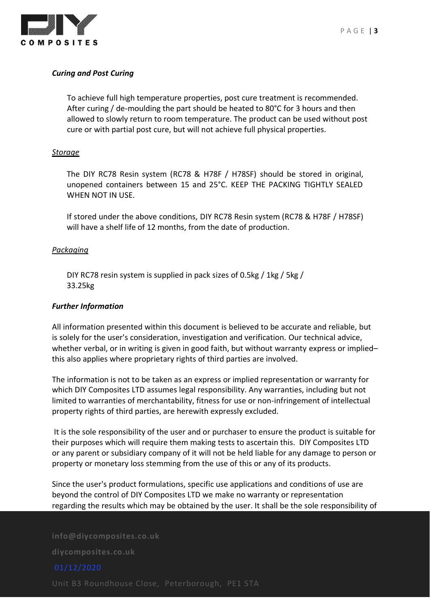

### *Curing and Post Curing*

To achieve full high temperature properties, post cure treatment is recommended. After curing / de-moulding the part should be heated to 80°C for 3 hours and then allowed to slowly return to room temperature. The product can be used without post cure or with partial post cure, but will not achieve full physical properties.

#### *Storage*

The DIY RC78 Resin system (RC78 & H78F / H78SF) should be stored in original, unopened containers between 15 and 25°C. KEEP THE PACKING TIGHTLY SEALED WHEN NOT IN USE.

If stored under the above conditions, DIY RC78 Resin system (RC78 & H78F / H78SF) will have a shelf life of 12 months, from the date of production.

#### *Packaging*

DIY RC78 resin system is supplied in pack sizes of 0.5kg / 1kg / 5kg / 33.25kg

#### *Further Information*

All information presented within this document is believed to be accurate and reliable, but is solely for the user's consideration, investigation and verification. Our technical advice, whether verbal, or in writing is given in good faith, but without warranty express or implied– this also applies where proprietary rights of third parties are involved.

The information is not to be taken as an express or implied representation or warranty for which DIY Composites LTD assumes legal responsibility. Any warranties, including but not limited to warranties of merchantability, fitness for use or non-infringement of intellectual property rights of third parties, are herewith expressly excluded.

It is the sole responsibility of the user and or purchaser to ensure the product is suitable for their purposes which will require them making tests to ascertain this. DIY Composites LTD or any parent or subsidiary company of it will not be held liable for any damage to person or property or monetary loss stemming from the use of this or any of its products.

Since the user's product formulations, specific use applications and conditions of use are beyond the control of DIY Composites LTD we make no warranty or representation regarding the results which may be obtained by the user. It shall be the sole responsibility of

**info@diycomposites.co.uk**

**diycomposites.co.uk**